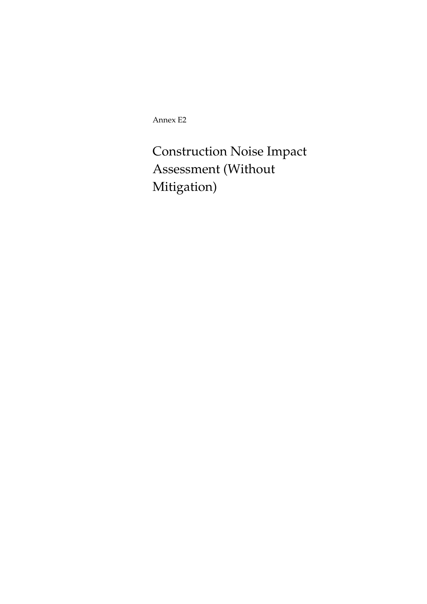Annex E2

Construction Noise Impact Assessment (Without Mitigation)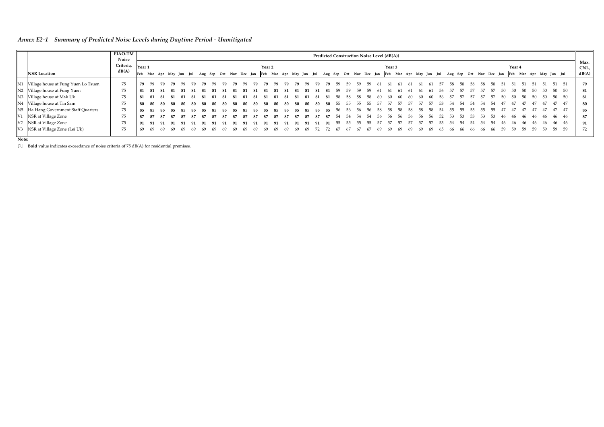*Annex E2-1 Summary of Predicted Noise Levels during Daytime Period - Unmitigated*

|                                        | <b>EIAO-TM</b><br>Noise                                           |     |  |                         |     |         |  |                     |    |                   |     |                     |  |     |     |                                                                                                                                                                                                                                                  |  |              |  |  |  |  |  |  |  |  |       |
|----------------------------------------|-------------------------------------------------------------------|-----|--|-------------------------|-----|---------|--|---------------------|----|-------------------|-----|---------------------|--|-----|-----|--------------------------------------------------------------------------------------------------------------------------------------------------------------------------------------------------------------------------------------------------|--|--------------|--|--|--|--|--|--|--|--|-------|
|                                        | Criteria, $\begin{array}{ c c } \hline \text{Vear 1} \end{array}$ |     |  |                         |     |         |  |                     |    | Year <sub>2</sub> |     |                     |  |     |     | Predicted Construction Noise Level (dB(A))<br>Year <sub>3</sub><br>Year 4<br>Feb Mar Apr May Jun Jul<br>Feb Mar Apr May Jun Jul<br>Oct Nov Dec Jan<br>Oct Nov Dec Jan<br>Aug Sep<br>50<br>-50<br>47<br>47<br>-46<br>-46<br>59<br>.59<br>59<br>59 |  | Max.<br>CNL, |  |  |  |  |  |  |  |  |       |
| <b>NSR Location</b>                    | dB(A)                                                             |     |  | Feb Mar Apr May Jun Jul |     | Aug Sep |  | Oct Nov Dec Jan Feb |    |                   |     | Mar Apr May Jun Jul |  | Aug | Sep |                                                                                                                                                                                                                                                  |  |              |  |  |  |  |  |  |  |  | dB(A) |
| N1 Village house at Fung Yuen Lo Tsuen | 75                                                                | 79  |  |                         |     |         |  |                     |    |                   |     |                     |  |     |     |                                                                                                                                                                                                                                                  |  |              |  |  |  |  |  |  |  |  | 79    |
| N2 Village house at Fung Yuen          | 75                                                                | 81  |  |                         |     |         |  |                     |    |                   |     |                     |  |     |     |                                                                                                                                                                                                                                                  |  |              |  |  |  |  |  |  |  |  | 81    |
| N3 Village house at Mak Uk             | 75                                                                | 81  |  |                         |     |         |  |                     |    |                   |     |                     |  |     |     |                                                                                                                                                                                                                                                  |  |              |  |  |  |  |  |  |  |  | 81    |
| N4 Village house at Tin Sam            | 75                                                                | -80 |  |                         |     |         |  |                     |    |                   |     |                     |  |     |     |                                                                                                                                                                                                                                                  |  |              |  |  |  |  |  |  |  |  | 80    |
| N5 Ha Hang Government Staff Quarters   | 75                                                                | 85  |  |                         | 85. | 85.     |  | 85.                 |    |                   | 85. |                     |  |     |     |                                                                                                                                                                                                                                                  |  |              |  |  |  |  |  |  |  |  | 85    |
| V1 NSR at Village Zone                 | 75                                                                | 87  |  |                         |     |         |  |                     | 87 |                   |     |                     |  |     |     |                                                                                                                                                                                                                                                  |  |              |  |  |  |  |  |  |  |  | 87    |
| V2 NSR at Village Zone                 | 75                                                                | 91  |  |                         |     |         |  |                     |    |                   |     |                     |  |     |     |                                                                                                                                                                                                                                                  |  |              |  |  |  |  |  |  |  |  | 91    |
| V3 NSR at Village Zone (Lei Uk)        | 75                                                                | 69  |  |                         |     |         |  |                     |    |                   |     |                     |  |     |     |                                                                                                                                                                                                                                                  |  |              |  |  |  |  |  |  |  |  | 72    |

**Note:**

[1] **Bold** value indicates exceedance of noise criteria of 75 dB(A) for residential premises.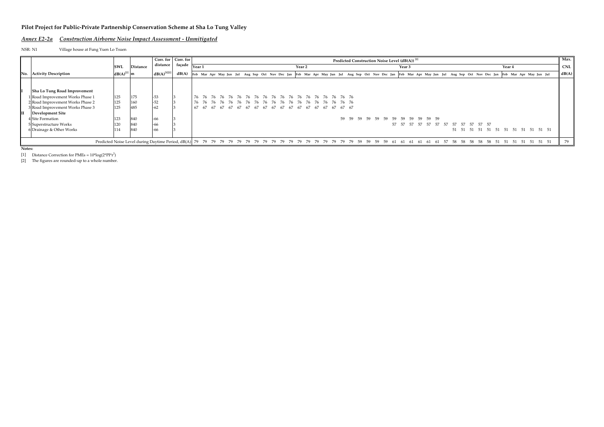#### *Annex E2-2a Construction Airborne Noise Impact Assessment - Unmitigated*

NSR: N1 Village house at Fung Yuen Lo Tsuen

|                                  |                 |                 | Corr. for Corr. for |                                        |                                                                                                                                                                         |  |  |  |  |                   |  |    |  | Predicted Construction Noise Level (dB(A)) <sup>[2]</sup> |       |        |     |  |     |                                        |     |    |     |     |        |  |                                     | Max.       |
|----------------------------------|-----------------|-----------------|---------------------|----------------------------------------|-------------------------------------------------------------------------------------------------------------------------------------------------------------------------|--|--|--|--|-------------------|--|----|--|-----------------------------------------------------------|-------|--------|-----|--|-----|----------------------------------------|-----|----|-----|-----|--------|--|-------------------------------------|------------|
|                                  | SWL             | <b>Distance</b> | distance            | $\cdot$ e   façade $\sqrt{\frac{1}{2}$ |                                                                                                                                                                         |  |  |  |  | Year <sub>2</sub> |  |    |  |                                                           |       | Year 3 |     |  |     |                                        |     |    |     |     | Year 4 |  |                                     | <b>CNL</b> |
| No. Activity Description         | $dB(A)^{[2]}$ m |                 | $dB(A)^{[1][2]}$    | dB(A)                                  | Feb Mar Apr May Jun Jul Aug Sep Oct Nov Dec Jan Feb Mar Apr May Jun Jul Aug Sep Oct Nov Dec Jan Feb Mar Apr May Jun Jul Aug Sep Oct Nov Dec Jan Feb Mar Apr May Jun Jul |  |  |  |  |                   |  |    |  |                                                           |       |        |     |  |     |                                        |     |    |     |     |        |  |                                     | dB(A)      |
|                                  |                 |                 |                     |                                        |                                                                                                                                                                         |  |  |  |  |                   |  |    |  |                                                           |       |        |     |  |     |                                        |     |    |     |     |        |  |                                     |            |
| Sha Lo Tung Road Improvement     |                 |                 |                     |                                        |                                                                                                                                                                         |  |  |  |  |                   |  |    |  |                                                           |       |        |     |  |     |                                        |     |    |     |     |        |  |                                     |            |
| 1 Road Improvement Works Phase 1 | 125             | 175             | $-53$               |                                        |                                                                                                                                                                         |  |  |  |  |                   |  |    |  |                                                           |       |        |     |  |     |                                        |     |    |     |     |        |  |                                     |            |
| 2 Road Improvement Works Phase 2 | 125             | 160             | $-52$               |                                        |                                                                                                                                                                         |  |  |  |  |                   |  |    |  |                                                           |       |        |     |  |     |                                        |     |    |     |     |        |  |                                     |            |
| 3 Road Improvement Works Phase 3 | 125             | 485             | $-62$               |                                        |                                                                                                                                                                         |  |  |  |  |                   |  |    |  |                                                           |       |        |     |  |     |                                        |     |    |     |     |        |  |                                     |            |
| <b>Development Site</b>          |                 |                 |                     |                                        |                                                                                                                                                                         |  |  |  |  |                   |  |    |  |                                                           |       |        |     |  |     |                                        |     |    |     |     |        |  |                                     |            |
| 4 Site Formation                 | 123             | 840             | $-66$               |                                        |                                                                                                                                                                         |  |  |  |  |                   |  | 59 |  | 59 59 59 59 59 59 59 59 59 59 59 59                       |       |        |     |  |     |                                        |     |    |     |     |        |  |                                     |            |
| 5 Superstructure Works           |                 | 840             | $-66$               |                                        |                                                                                                                                                                         |  |  |  |  |                   |  |    |  |                                                           |       |        |     |  |     | 57 57 57 57 57 57 57 57 57 57 57 57 57 |     |    |     |     |        |  |                                     |            |
| 6 Drainage & Other Works         | 114             | 840             | $-66$               |                                        |                                                                                                                                                                         |  |  |  |  |                   |  |    |  |                                                           |       |        |     |  |     |                                        |     |    |     |     |        |  | 51 51 51 51 51 51 51 51 51 51 51 51 |            |
|                                  |                 |                 |                     |                                        |                                                                                                                                                                         |  |  |  |  |                   |  |    |  |                                                           |       |        |     |  |     |                                        |     |    |     |     |        |  |                                     |            |
|                                  |                 |                 |                     |                                        |                                                                                                                                                                         |  |  |  |  |                   |  |    |  |                                                           | 59 61 | - 61   | -61 |  | -58 |                                        | -58 | 58 | -58 | -51 |        |  | - 51<br>-51                         | 79         |

**Notes:**

[1] Distance Correction for PMEs =  $10*log(2*PI*r^2)$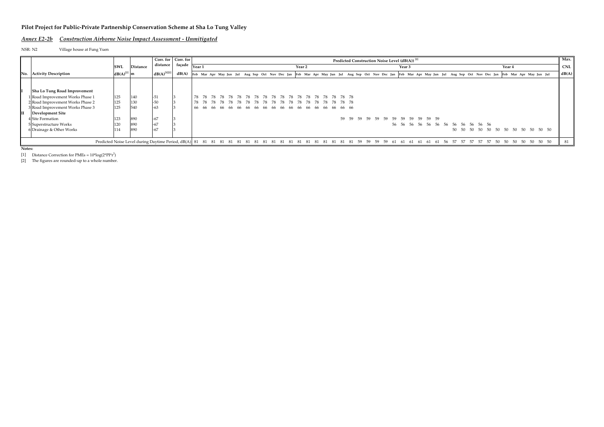#### *Annex E2-2b Construction Airborne Noise Impact Assessment - Unmitigated*

NSR: N2 Village house at Fung Yuen

|                                  |                 |                                                                                  | Corr. for Corr. for |                                         |                                                                                                                                                                         |  |  |  |    |                   |      |                |    |     |            | Predicted Construction Noise Level (dB(A)) <sup>[2]</sup> |     |                                     |  |  |  |     |                                     |       |        |  |                | Max.       |
|----------------------------------|-----------------|----------------------------------------------------------------------------------|---------------------|-----------------------------------------|-------------------------------------------------------------------------------------------------------------------------------------------------------------------------|--|--|--|----|-------------------|------|----------------|----|-----|------------|-----------------------------------------------------------|-----|-------------------------------------|--|--|--|-----|-------------------------------------|-------|--------|--|----------------|------------|
|                                  | SWL             | Distance                                                                         | distance            | $\cdot$ e   façade $\sqrt{\frac{1}{2}}$ |                                                                                                                                                                         |  |  |  |    | Year <sub>2</sub> |      |                |    |     |            |                                                           |     | Year 3                              |  |  |  |     |                                     |       | Year 4 |  |                | <b>CNL</b> |
| No. Activity Description         | $dB(A)^{[2]}$ m |                                                                                  | $dB(A)^{[1][2]}$    | dB(A)                                   | Feb Mar Apr May Jun Jul Aug Sep Oct Nov Dec Jan Feb Mar Apr May Jun Jul Aug Sep Oct Nov Dec Jan Feb Mar Apr May Jun Jul Aug Sep Oct Nov Dec Jan Feb Mar Apr May Jun Jul |  |  |  |    |                   |      |                |    |     |            |                                                           |     |                                     |  |  |  |     |                                     |       |        |  |                | dB(A)      |
|                                  |                 |                                                                                  |                     |                                         |                                                                                                                                                                         |  |  |  |    |                   |      |                |    |     |            |                                                           |     |                                     |  |  |  |     |                                     |       |        |  |                |            |
| Sha Lo Tung Road Improvement     |                 |                                                                                  |                     |                                         |                                                                                                                                                                         |  |  |  |    |                   |      |                |    |     |            |                                                           |     |                                     |  |  |  |     |                                     |       |        |  |                |            |
| 1 Road Improvement Works Phase 1 | 125             | 140                                                                              | $-51$               |                                         |                                                                                                                                                                         |  |  |  |    |                   |      |                |    |     |            |                                                           |     |                                     |  |  |  |     |                                     |       |        |  |                |            |
| 2 Road Improvement Works Phase 2 | 125             | 130                                                                              | $-50$               |                                         |                                                                                                                                                                         |  |  |  |    |                   |      |                |    |     |            |                                                           |     |                                     |  |  |  |     |                                     |       |        |  |                |            |
| 3 Road Improvement Works Phase 3 | 125             | 540                                                                              | $-63$               |                                         |                                                                                                                                                                         |  |  |  |    |                   |      |                |    |     |            |                                                           |     |                                     |  |  |  |     |                                     |       |        |  |                |            |
| Development Site                 |                 |                                                                                  |                     |                                         |                                                                                                                                                                         |  |  |  |    |                   |      |                |    |     |            |                                                           |     |                                     |  |  |  |     |                                     |       |        |  |                |            |
| 4 Site Formation                 |                 | 890                                                                              | $-67$               |                                         |                                                                                                                                                                         |  |  |  |    |                   |      |                | 59 | .59 |            | 59 59 59 59 59 59 59 59 59 59 59                          |     |                                     |  |  |  |     |                                     |       |        |  |                |            |
| 5 Superstructure Works           | 120             | 890                                                                              | $-67$               |                                         |                                                                                                                                                                         |  |  |  |    |                   |      |                |    |     |            |                                                           |     | 56 56 56 56 56 56 56 56 56 56 56 56 |  |  |  |     |                                     |       |        |  |                |            |
| 6 Drainage & Other Works         | 114             | 890                                                                              | $-67$               |                                         |                                                                                                                                                                         |  |  |  |    |                   |      |                |    |     |            |                                                           |     |                                     |  |  |  |     | 50 50 50 50 50 50 50 50 50 50 50 50 |       |        |  |                |            |
|                                  |                 |                                                                                  |                     |                                         |                                                                                                                                                                         |  |  |  |    |                   |      |                |    |     |            |                                                           |     |                                     |  |  |  |     |                                     |       |        |  |                |            |
|                                  |                 | Predicted Noise Level during Daytime Period, dB(A) 81 81 81 81 81 81 81 81 81 81 |                     |                                         |                                                                                                                                                                         |  |  |  | 81 | - 81              | - 81 | 81 81 81 81 59 |    |     | -59<br>-59 | 59                                                        | -61 | - 61                                |  |  |  | -57 |                                     | 50 50 |        |  | 50 50 50 50 50 | 81         |

**Notes:**

[1] Distance Correction for PMEs =  $10*log(2*PI*r^2)$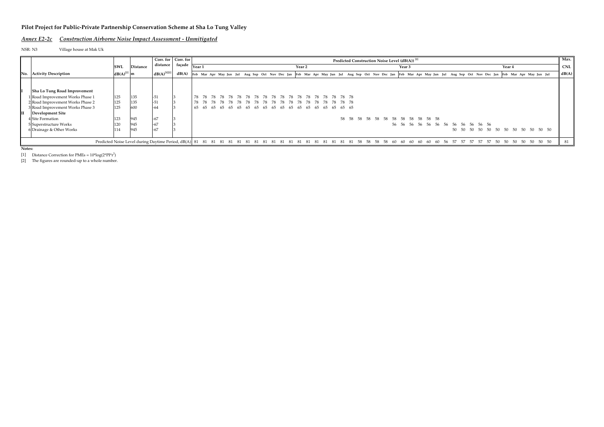#### *Annex E2-2c Construction Airborne Noise Impact Assessment - Unmitigated*

NSR: N3 Village house at Mak Uk

|     |                                  |                 |                                                                                        | Corr. for Corr. for |        |                                                                                                                                                                         |  |  |  |  |       |                   |             |  |     |  |  | Predicted Construction Noise Level (dB(A)) <sup>[2]</sup> |     |                                     |  |  |                                     |     |        |       |       | Max.       |
|-----|----------------------------------|-----------------|----------------------------------------------------------------------------------------|---------------------|--------|-------------------------------------------------------------------------------------------------------------------------------------------------------------------------|--|--|--|--|-------|-------------------|-------------|--|-----|--|--|-----------------------------------------------------------|-----|-------------------------------------|--|--|-------------------------------------|-----|--------|-------|-------|------------|
|     |                                  | <b>SWL</b>      | <b>Distance</b>                                                                        | distance            | façade | Year:                                                                                                                                                                   |  |  |  |  |       | Year <sub>2</sub> |             |  |     |  |  | Year 3                                                    |     |                                     |  |  |                                     |     | Year 4 |       |       | <b>CNL</b> |
| No. | <b>Activity Description</b>      | $dB(A)^{[2]}$ m |                                                                                        | $dB(A)^{[1][2]}$    | dB(A)  | Feb Mar Apr May Jun Jul Aug Sep Oct Nov Dec Jan Feb Mar Apr May Jun Jul Aug Sep Oct Nov Dec Jan Feb Mar Apr May Jun Jul Aug Sep Oct Nov Dec Jan Feb Mar Apr May Jun Jul |  |  |  |  |       |                   |             |  |     |  |  |                                                           |     |                                     |  |  |                                     |     |        |       |       | dB(A)      |
|     |                                  |                 |                                                                                        |                     |        |                                                                                                                                                                         |  |  |  |  |       |                   |             |  |     |  |  |                                                           |     |                                     |  |  |                                     |     |        |       |       |            |
|     | Sha Lo Tung Road Improvement     |                 |                                                                                        |                     |        |                                                                                                                                                                         |  |  |  |  |       |                   |             |  |     |  |  |                                                           |     |                                     |  |  |                                     |     |        |       |       |            |
|     |                                  |                 |                                                                                        |                     |        |                                                                                                                                                                         |  |  |  |  |       |                   |             |  |     |  |  |                                                           |     |                                     |  |  |                                     |     |        |       |       |            |
|     | 1 Road Improvement Works Phase 1 | 125             | 135                                                                                    | $-51$               |        |                                                                                                                                                                         |  |  |  |  |       |                   |             |  |     |  |  |                                                           |     |                                     |  |  |                                     |     |        |       |       |            |
|     | 2 Road Improvement Works Phase 2 | 125             | 135                                                                                    | $-51$               |        |                                                                                                                                                                         |  |  |  |  |       |                   |             |  |     |  |  |                                                           |     |                                     |  |  |                                     |     |        |       |       |            |
|     | 3 Road Improvement Works Phase 3 | 125             | 600                                                                                    | $-64$               |        |                                                                                                                                                                         |  |  |  |  |       |                   |             |  |     |  |  |                                                           |     |                                     |  |  |                                     |     |        |       |       |            |
|     | Development Site                 |                 |                                                                                        |                     |        |                                                                                                                                                                         |  |  |  |  |       |                   |             |  |     |  |  |                                                           |     |                                     |  |  |                                     |     |        |       |       |            |
|     | 4 Site Formation                 | 123             | 945                                                                                    | $-67$               |        |                                                                                                                                                                         |  |  |  |  |       |                   |             |  |     |  |  | 58 58 58 58 58 58 58 58 58 58 58 58                       |     |                                     |  |  |                                     |     |        |       |       |            |
|     | 5 Superstructure Works           |                 | 945                                                                                    | $-67$               |        |                                                                                                                                                                         |  |  |  |  |       |                   |             |  |     |  |  |                                                           |     | 56 56 56 56 56 56 56 56 56 56 56 56 |  |  |                                     |     |        |       |       |            |
|     | 6 Drainage & Other Works         | 114             | 945                                                                                    | $-67$               |        |                                                                                                                                                                         |  |  |  |  |       |                   |             |  |     |  |  |                                                           |     |                                     |  |  | 50 50 50 50 50 50 50 50 50 50 50 50 |     |        |       |       |            |
|     |                                  |                 |                                                                                        |                     |        |                                                                                                                                                                         |  |  |  |  |       |                   |             |  |     |  |  |                                                           |     |                                     |  |  |                                     |     |        |       |       |            |
|     |                                  |                 | Predicted Noise Level during Daytime Period, dB(A) 81 81 81 81 81 81 81 81 81 81 81 81 |                     |        |                                                                                                                                                                         |  |  |  |  | 81 81 |                   | 81 81 81 81 |  | -81 |  |  | 81 58 58 58 58 60 60 60                                   | -60 |                                     |  |  |                                     | 50. |        | 50 50 | 50 50 |            |

**Notes:**

[1] Distance Correction for PMEs =  $10*log(2*PI*r^2)$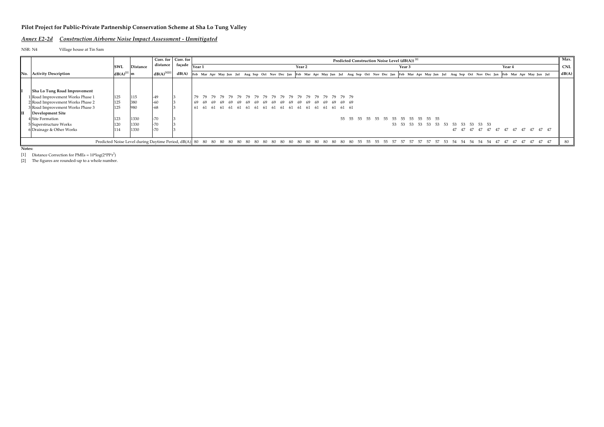#### *Annex E2-2d Construction Airborne Noise Impact Assessment - Unmitigated*

NSR: N4 Village house at Tin Sam

|     |                                  |                 |                 | Corr. for Corr. for |        |                                                                                                                                                                         |  |                               |  |  |                   |       |      |                |       |    |      | Predicted Construction Noise Level (dB(A)) <sup>[2]</sup> |    |                                        |     |    |     |  |                                        |        |  |  | Max.       |
|-----|----------------------------------|-----------------|-----------------|---------------------|--------|-------------------------------------------------------------------------------------------------------------------------------------------------------------------------|--|-------------------------------|--|--|-------------------|-------|------|----------------|-------|----|------|-----------------------------------------------------------|----|----------------------------------------|-----|----|-----|--|----------------------------------------|--------|--|--|------------|
|     |                                  | <b>SWL</b>      | <b>Distance</b> | distance            | façade | Year:                                                                                                                                                                   |  |                               |  |  | Year <sub>2</sub> |       |      |                |       |    |      |                                                           |    | Year <sub>3</sub>                      |     |    |     |  |                                        | Year 4 |  |  | <b>CNL</b> |
| No. | <b>Activity Description</b>      | $dB(A)^{[2]}$ m |                 | $dB(A)^{[1][2]}$    | dB(A)  | Feb Mar Apr May Jun Jul Aug Sep Oct Nov Dec Jan Feb Mar Apr May Jun Jul Aug Sep Oct Nov Dec Jan Feb Mar Apr May Jun Jul Aug Sep Oct Nov Dec Jan Feb Mar Apr May Jun Jul |  |                               |  |  |                   |       |      |                |       |    |      |                                                           |    |                                        |     |    |     |  |                                        |        |  |  | dB(A)      |
|     |                                  |                 |                 |                     |        |                                                                                                                                                                         |  |                               |  |  |                   |       |      |                |       |    |      |                                                           |    |                                        |     |    |     |  |                                        |        |  |  |            |
|     | Sha Lo Tung Road Improvement     |                 |                 |                     |        |                                                                                                                                                                         |  |                               |  |  |                   |       |      |                |       |    |      |                                                           |    |                                        |     |    |     |  |                                        |        |  |  |            |
|     | 1 Road Improvement Works Phase 1 | 125             | 115             | $-49$               |        | 79 79                                                                                                                                                                   |  |                               |  |  |                   |       |      |                |       |    |      |                                                           |    |                                        |     |    |     |  |                                        |        |  |  |            |
|     | 2 Road Improvement Works Phase 2 | 125             | 380             | $-60$               |        | 69 69                                                                                                                                                                   |  | 69 69 69 69 69 69 69 69 69 69 |  |  |                   | 69 69 | - 69 | 69 69 69 69    |       |    |      |                                                           |    |                                        |     |    |     |  |                                        |        |  |  |            |
|     | 3 Road Improvement Works Phase 3 | 125             | 980             | $-68$               |        |                                                                                                                                                                         |  |                               |  |  |                   |       |      |                |       |    |      |                                                           |    |                                        |     |    |     |  |                                        |        |  |  |            |
|     | Development Site                 |                 |                 |                     |        |                                                                                                                                                                         |  |                               |  |  |                   |       |      |                |       |    |      |                                                           |    |                                        |     |    |     |  |                                        |        |  |  |            |
|     | 4 Site Formation                 |                 | 1330            | $-70$               |        |                                                                                                                                                                         |  |                               |  |  |                   |       |      |                |       |    |      | 55 55 55 55 55 55 55 55 55 55 55 55 55                    |    |                                        |     |    |     |  |                                        |        |  |  |            |
|     | 5 Superstructure Works           |                 | 1330            | $-70$               |        |                                                                                                                                                                         |  |                               |  |  |                   |       |      |                |       |    |      |                                                           |    | 53 53 53 53 53 53 53 53 53 53 53 53 53 |     |    |     |  |                                        |        |  |  |            |
|     | 6 Drainage & Other Works         | 114             | 1330            | $-70$               |        |                                                                                                                                                                         |  |                               |  |  |                   |       |      |                |       |    |      |                                                           |    |                                        |     |    |     |  | 47 47 47 47 47 47 47 47 47 47 47 47 47 |        |  |  |            |
|     |                                  |                 |                 |                     |        |                                                                                                                                                                         |  |                               |  |  |                   |       |      |                |       |    |      |                                                           |    |                                        |     |    |     |  |                                        |        |  |  |            |
|     |                                  |                 |                 |                     |        |                                                                                                                                                                         |  |                               |  |  |                   |       |      | 80 80 80 80 80 | 80 80 | 55 | -55. | 55.<br>55.                                                | 57 | 57                                     | -57 | 57 | 53. |  | 54 54 54 54 54 47 47 47 47 47 47 47 47 |        |  |  | -80        |

**Notes:**

[1] Distance Correction for PMEs =  $10*log(2*PI*r^2)$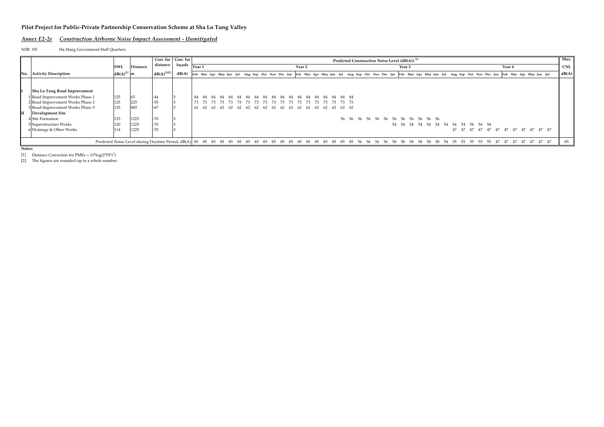#### *Annex E2-2e Construction Airborne Noise Impact Assessment - Unmitigated*

NSR: N5 Ha Hang Government Staff Quarters

|                                  |                 |                                                                                  | Corr. for Corr. for                       |       |                                                                                                                                                                         |  |  |  |           |     |                   |       |                      |  |  |      |     | Predicted Construction Noise Level (dB(A)) <sup>[2]</sup> |        |          |    |      |     |     |                                     |             |     |        |  |                                        |  | Max.       |
|----------------------------------|-----------------|----------------------------------------------------------------------------------|-------------------------------------------|-------|-------------------------------------------------------------------------------------------------------------------------------------------------------------------------|--|--|--|-----------|-----|-------------------|-------|----------------------|--|--|------|-----|-----------------------------------------------------------|--------|----------|----|------|-----|-----|-------------------------------------|-------------|-----|--------|--|----------------------------------------|--|------------|
|                                  | <b>SWL</b>      | <b>Distance</b>                                                                  | distance façade $\frac{1}{\text{Year 1}}$ |       |                                                                                                                                                                         |  |  |  |           |     | Year <sub>2</sub> |       |                      |  |  |      |     |                                                           | Year 3 |          |    |      |     |     |                                     |             |     | Year 4 |  |                                        |  | <b>CNL</b> |
| No. Activity Description         | $dB(A)^{[2]}$ m |                                                                                  | $dB(A)^{[1][2]}$                          | dB(A) | Feb Mar Apr May Jun Jul Aug Sep Oct Nov Dec Jan Feb Mar Apr May Jun Jul Aug Sep Oct Nov Dec Jan Feb Mar Apr May Jun Jul Aug Sep Oct Nov Dec Jan Feb Mar Apr May Jun Jul |  |  |  |           |     |                   |       |                      |  |  |      |     |                                                           |        |          |    |      |     |     |                                     |             |     |        |  |                                        |  | dB(A)      |
|                                  |                 |                                                                                  |                                           |       |                                                                                                                                                                         |  |  |  |           |     |                   |       |                      |  |  |      |     |                                                           |        |          |    |      |     |     |                                     |             |     |        |  |                                        |  |            |
| Sha Lo Tung Road Improvement     |                 |                                                                                  |                                           |       |                                                                                                                                                                         |  |  |  |           |     |                   |       |                      |  |  |      |     |                                                           |        |          |    |      |     |     |                                     |             |     |        |  |                                        |  |            |
| 1 Road Improvement Works Phase 1 | 125             | 65                                                                               | $-44$                                     |       |                                                                                                                                                                         |  |  |  |           |     |                   |       |                      |  |  |      |     |                                                           |        |          |    |      |     |     |                                     |             |     |        |  |                                        |  |            |
| 2 Road Improvement Works Phase 2 | 125             | 225                                                                              | $-55$                                     |       |                                                                                                                                                                         |  |  |  |           |     |                   |       |                      |  |  |      |     |                                                           |        |          |    |      |     |     |                                     |             |     |        |  |                                        |  |            |
| 3 Road Improvement Works Phase 3 | 125             | 885                                                                              | $-67$                                     |       |                                                                                                                                                                         |  |  |  |           |     |                   |       |                      |  |  |      |     |                                                           |        |          |    |      |     |     |                                     |             |     |        |  |                                        |  |            |
| <b>Development Site</b>          |                 |                                                                                  |                                           |       |                                                                                                                                                                         |  |  |  |           |     |                   |       |                      |  |  |      |     |                                                           |        |          |    |      |     |     |                                     |             |     |        |  |                                        |  |            |
| 4 Site Formation                 | 123             | 1225                                                                             | $-70$                                     |       |                                                                                                                                                                         |  |  |  |           |     |                   |       |                      |  |  |      |     | 56 56 56 56 56 56 56 56 56 56 56 56                       |        |          |    |      |     |     |                                     |             |     |        |  |                                        |  |            |
| 5 Superstructure Works           | 120             | 1225                                                                             | $-70$                                     |       |                                                                                                                                                                         |  |  |  |           |     |                   |       |                      |  |  |      |     |                                                           |        |          |    |      |     |     | 54 54 54 54 54 54 54 54 54 54 54 54 |             |     |        |  |                                        |  |            |
| 6 Drainage & Other Works         | 114             | 1225                                                                             | $-70$                                     |       |                                                                                                                                                                         |  |  |  |           |     |                   |       |                      |  |  |      |     |                                                           |        |          |    |      |     |     |                                     |             |     |        |  | 47 47 47 47 47 47 47 47 47 47 47 47 47 |  |            |
|                                  |                 | Predicted Noise Level during Daytime Period, dB(A) 85 85 85 85 85 85 85 85 85 85 |                                           |       |                                                                                                                                                                         |  |  |  | 85<br>-85 | -85 |                   | 85 85 | 85 85 85 85 85 56 56 |  |  | - 56 | 56. | 58                                                        | 58.    | 58<br>58 | 58 | - 58 | -54 | 55. | -55                                 | - 55<br>-55 | .55 |        |  | 47 47 47 47 47                         |  | 85         |
|                                  |                 |                                                                                  |                                           |       |                                                                                                                                                                         |  |  |  |           |     |                   |       |                      |  |  |      |     |                                                           |        |          |    |      |     |     |                                     |             |     |        |  |                                        |  |            |

**Notes:**

[1] Distance Correction for PMEs =  $10*log(2*PI*r^2)$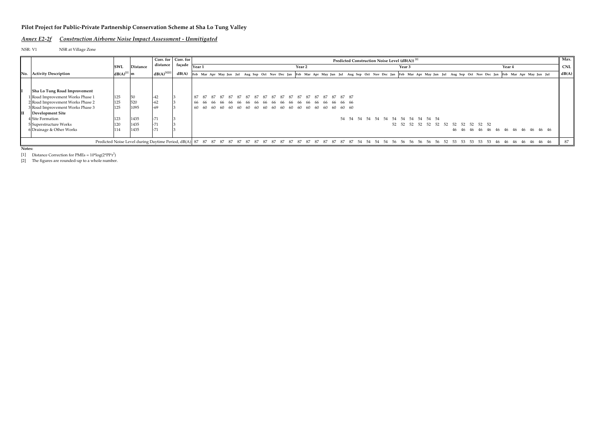#### *Annex E2-2f Construction Airborne Noise Impact Assessment - Unmitigated*

NSR: V1 NSR at Village Zone

|                                  |                 |                 |                  | Corr. for Corr. for |                   |      |      |             |  |       |     |      |                   |      |             |           |       |     | Predicted Construction Noise Level (dB(A)) <sup>[2]</sup> |        |             |     |     |     |                                     |     |    |    |                   |  |                                                                                                                                                                         | Max.       |
|----------------------------------|-----------------|-----------------|------------------|---------------------|-------------------|------|------|-------------|--|-------|-----|------|-------------------|------|-------------|-----------|-------|-----|-----------------------------------------------------------|--------|-------------|-----|-----|-----|-------------------------------------|-----|----|----|-------------------|--|-------------------------------------------------------------------------------------------------------------------------------------------------------------------------|------------|
|                                  | <b>SWL</b>      | <b>Distance</b> | distance         | façade              | Year <sup>1</sup> |      |      |             |  |       |     |      | Year <sub>2</sub> |      |             |           |       |     |                                                           | Year 3 |             |     |     |     |                                     |     |    |    | Year <sub>4</sub> |  |                                                                                                                                                                         | <b>CNL</b> |
| No. Activity Description         | $dB(A)^{[2]}$ m |                 | $dB(A)^{[1][2]}$ | dB(A)               |                   |      |      |             |  |       |     |      |                   |      |             |           |       |     |                                                           |        |             |     |     |     |                                     |     |    |    |                   |  | Feb Mar Apr May Jun Jul Aug Sep Oct Nov Dec Jan Feb Mar Apr May Jun Jul Aug Sep Oct Nov Dec Jan Feb Mar Apr May Jun Jul Aug Sep Oct Nov Dec Jan Feb Mar Apr May Jun Jul | dB(A)      |
|                                  |                 |                 |                  |                     |                   |      |      |             |  |       |     |      |                   |      |             |           |       |     |                                                           |        |             |     |     |     |                                     |     |    |    |                   |  |                                                                                                                                                                         |            |
| Sha Lo Tung Road Improvement     |                 |                 |                  |                     |                   |      |      |             |  |       |     |      |                   |      |             |           |       |     |                                                           |        |             |     |     |     |                                     |     |    |    |                   |  |                                                                                                                                                                         |            |
| Road Improvement Works Phase 1   | 125             |                 | $-42$            |                     |                   |      |      |             |  |       |     |      |                   |      |             |           |       |     |                                                           |        |             |     |     |     |                                     |     |    |    |                   |  |                                                                                                                                                                         |            |
| 2 Road Improvement Works Phase 2 | 125             | 520             | $-62$            |                     | -66 - 66          | - 66 | - 66 | 66 66 66 66 |  | 66 66 | -66 | - 66 | 66 66             | - 66 | -66<br>- 66 | - 66 - 66 |       |     |                                                           |        |             |     |     |     |                                     |     |    |    |                   |  |                                                                                                                                                                         |            |
| 3 Road Improvement Works Phase 3 | 125             | 1095            | $-69$            |                     |                   |      |      |             |  |       |     |      |                   |      |             |           |       |     |                                                           |        |             |     |     |     |                                     |     |    |    |                   |  |                                                                                                                                                                         |            |
| <b>Development Site</b>          |                 |                 |                  |                     |                   |      |      |             |  |       |     |      |                   |      |             |           |       |     |                                                           |        |             |     |     |     |                                     |     |    |    |                   |  |                                                                                                                                                                         |            |
| 4 Site Formation                 | 123             | 1435            | $-71$            |                     |                   |      |      |             |  |       |     |      |                   |      |             |           |       |     | 54 54 54 54 54 54 54 54 54 54 54 54                       |        |             |     |     |     |                                     |     |    |    |                   |  |                                                                                                                                                                         |            |
| 5 Superstructure Works           | 120             | 1435            | $-71$            |                     |                   |      |      |             |  |       |     |      |                   |      |             |           |       |     |                                                           |        |             |     |     |     | 52 52 52 52 52 52 52 52 52 52 52 52 |     |    |    |                   |  |                                                                                                                                                                         |            |
| 6 Drainage & Other Works         | 114             | 1435            | $-71$            |                     |                   |      |      |             |  |       |     |      |                   |      |             |           |       |     |                                                           |        |             |     |     |     |                                     |     |    |    |                   |  | 46 46 46 46 46 46 46 46 46 46 46 46                                                                                                                                     |            |
|                                  |                 |                 |                  |                     |                   |      |      |             |  |       |     |      |                   |      |             |           |       |     |                                                           |        |             |     |     |     |                                     |     |    |    |                   |  |                                                                                                                                                                         |            |
|                                  |                 |                 |                  |                     |                   |      |      |             |  |       |     |      |                   |      |             | 87        | 87 54 | -54 | -54                                                       |        | 54 56 56 56 | -56 | -56 | 52. |                                     | -53 | 53 | 53 |                   |  | 46 46 46 46 46 46                                                                                                                                                       | 87         |

**Notes:**

[1] Distance Correction for PMEs =  $10*log(2*PI*r^2)$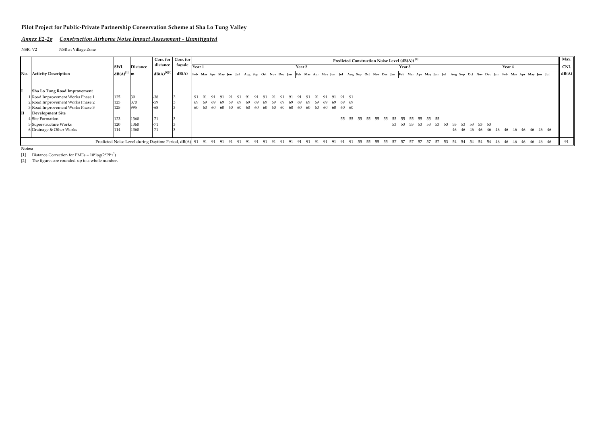#### *Annex E2-2g Construction Airborne Noise Impact Assessment - Unmitigated*

NSR: V2 NSR at Village Zone

|     |                                  |                 |          |                  | Corr. for Corr. for                                                                                                                                                           |       |  |  |  |  |                   |                |  |  | Predicted Construction Noise Level (dB(A)) <sup>[2]</sup> |          |        |    |    |     |                                        |       |                   |  |                                     | Max.       |
|-----|----------------------------------|-----------------|----------|------------------|-------------------------------------------------------------------------------------------------------------------------------------------------------------------------------|-------|--|--|--|--|-------------------|----------------|--|--|-----------------------------------------------------------|----------|--------|----|----|-----|----------------------------------------|-------|-------------------|--|-------------------------------------|------------|
|     |                                  | SWL             | Distance | distance         | façade                                                                                                                                                                        | Year  |  |  |  |  | Year <sub>2</sub> |                |  |  |                                                           |          | Year 3 |    |    |     |                                        |       | Year <sub>4</sub> |  |                                     | <b>CNL</b> |
| No. | <b>Activity Description</b>      | $dB(A)^{[2]}$ m |          | $dB(A)^{[1][2]}$ | dB(A) Feb Mar Apr May Jun Jul Aug Sep Oct Nov Dec Jan Feb Mar Apr May Jun Jul Aug Sep Oct Nov Dec Jan Feb Mar Apr May Jun Jul Aug Sep Oct Nov Dec Jan Feb Mar Apr May Jun Jul |       |  |  |  |  |                   |                |  |  |                                                           |          |        |    |    |     |                                        |       |                   |  |                                     | dB(A)      |
|     |                                  |                 |          |                  |                                                                                                                                                                               |       |  |  |  |  |                   |                |  |  |                                                           |          |        |    |    |     |                                        |       |                   |  |                                     |            |
|     | Sha Lo Tung Road Improvement     |                 |          |                  |                                                                                                                                                                               |       |  |  |  |  |                   |                |  |  |                                                           |          |        |    |    |     |                                        |       |                   |  |                                     |            |
|     | 1 Road Improvement Works Phase 1 | 125             | 30       | $-38$            |                                                                                                                                                                               |       |  |  |  |  |                   |                |  |  |                                                           |          |        |    |    |     |                                        |       |                   |  |                                     |            |
|     | 2 Road Improvement Works Phase 2 | 125             | 370      | $-59$            |                                                                                                                                                                               |       |  |  |  |  |                   | 69 69 69 69 69 |  |  |                                                           |          |        |    |    |     |                                        |       |                   |  |                                     |            |
|     | 3 Road Improvement Works Phase 3 | 125             | 995      | $-68$            |                                                                                                                                                                               | 60 60 |  |  |  |  |                   |                |  |  |                                                           |          |        |    |    |     |                                        |       |                   |  |                                     |            |
|     | <b>Development Site</b>          |                 |          |                  |                                                                                                                                                                               |       |  |  |  |  |                   |                |  |  |                                                           |          |        |    |    |     |                                        |       |                   |  |                                     |            |
|     | 4 Site Formation                 |                 | 1360     | $-71$            |                                                                                                                                                                               |       |  |  |  |  |                   |                |  |  | 55 55 55 55 55 55 55 55 55 55 55 55 55                    |          |        |    |    |     |                                        |       |                   |  |                                     |            |
|     | 5 Superstructure Works           |                 | 1360     | $-71$            |                                                                                                                                                                               |       |  |  |  |  |                   |                |  |  |                                                           |          |        |    |    |     | 53 53 53 53 53 53 53 53 53 53 53 53 53 |       |                   |  |                                     |            |
|     | 6 Drainage & Other Works         | 114             | 1360     | $-71$            |                                                                                                                                                                               |       |  |  |  |  |                   |                |  |  |                                                           |          |        |    |    |     |                                        |       |                   |  | 46 46 46 46 46 46 46 46 46 46 46 46 |            |
|     |                                  |                 |          |                  |                                                                                                                                                                               |       |  |  |  |  |                   |                |  |  |                                                           |          |        |    |    |     |                                        |       |                   |  |                                     |            |
|     |                                  |                 |          |                  |                                                                                                                                                                               |       |  |  |  |  |                   |                |  |  |                                                           | 55 55 57 | 57 57  | 57 | 57 | 53. |                                        | 54 54 |                   |  | 46 46 46 46 46 46                   | 91         |

**Notes:**

[1] Distance Correction for PMEs =  $10*log(2*PI*r^2)$